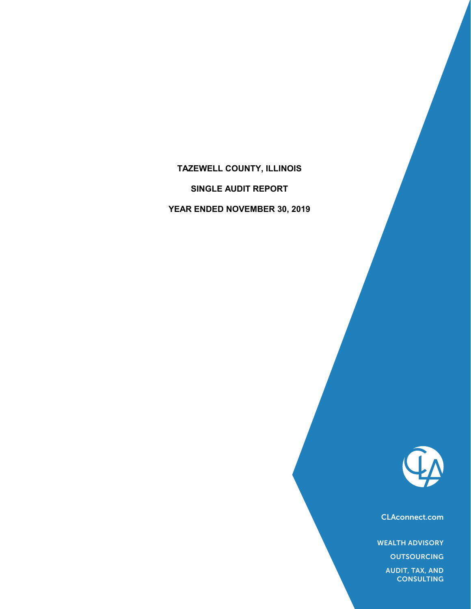# **TAZEWELL COUNTY, ILLINOIS**

**SINGLE AUDIT REPORT**

**YEAR ENDED NOVEMBER 30, 2019**



CLAconnect.com

WEALTH ADVISORY

**OUTSOURCING** 

AUDIT, TAX, AND **CONSULTING**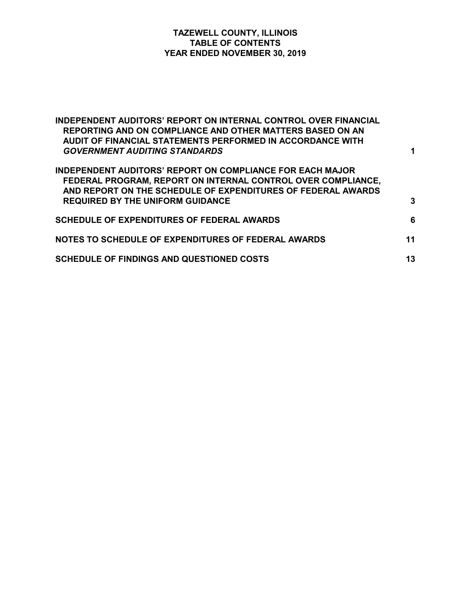# **TAZEWELL COUNTY, ILLINOIS TABLE OF CONTENTS YEAR ENDED NOVEMBER 30, 2019**

| <b>INDEPENDENT AUDITORS' REPORT ON INTERNAL CONTROL OVER FINANCIAL</b><br>REPORTING AND ON COMPLIANCE AND OTHER MATTERS BASED ON AN<br>AUDIT OF FINANCIAL STATEMENTS PERFORMED IN ACCORDANCE WITH<br><b>GOVERNMENT AUDITING STANDARDS</b>   | 1  |
|---------------------------------------------------------------------------------------------------------------------------------------------------------------------------------------------------------------------------------------------|----|
| <b>INDEPENDENT AUDITORS' REPORT ON COMPLIANCE FOR EACH MAJOR</b><br>FEDERAL PROGRAM, REPORT ON INTERNAL CONTROL OVER COMPLIANCE,<br>AND REPORT ON THE SCHEDULE OF EXPENDITURES OF FEDERAL AWARDS<br><b>REQUIRED BY THE UNIFORM GUIDANCE</b> | 3  |
| <b>SCHEDULE OF EXPENDITURES OF FEDERAL AWARDS</b>                                                                                                                                                                                           | 6  |
| NOTES TO SCHEDULE OF EXPENDITURES OF FEDERAL AWARDS                                                                                                                                                                                         | 11 |
| <b>SCHEDULE OF FINDINGS AND QUESTIONED COSTS</b>                                                                                                                                                                                            | 13 |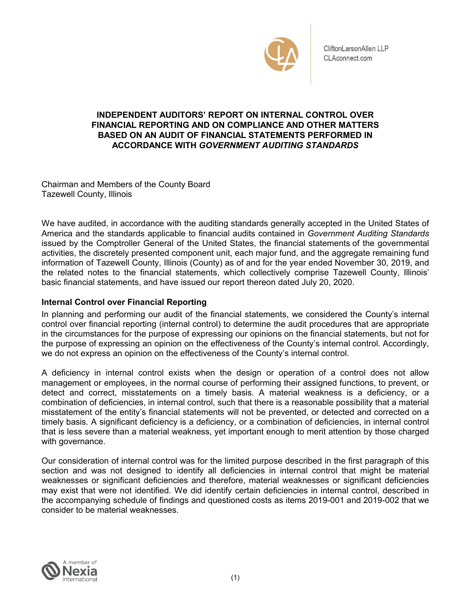

CliftonLarsonAllen LLP CLAconnect.com

# **INDEPENDENT AUDITORS' REPORT ON INTERNAL CONTROL OVER FINANCIAL REPORTING AND ON COMPLIANCE AND OTHER MATTERS BASED ON AN AUDIT OF FINANCIAL STATEMENTS PERFORMED IN ACCORDANCE WITH** *GOVERNMENT AUDITING STANDARDS*

Chairman and Members of the County Board Tazewell County, Illinois

We have audited, in accordance with the auditing standards generally accepted in the United States of America and the standards applicable to financial audits contained in *Government Auditing Standards*  issued by the Comptroller General of the United States, the financial statements of the governmental activities, the discretely presented component unit, each major fund, and the aggregate remaining fund information of Tazewell County, Illinois (County) as of and for the year ended November 30, 2019, and the related notes to the financial statements, which collectively comprise Tazewell County, Illinois' basic financial statements, and have issued our report thereon dated July 20, 2020.

# **Internal Control over Financial Reporting**

In planning and performing our audit of the financial statements, we considered the County's internal control over financial reporting (internal control) to determine the audit procedures that are appropriate in the circumstances for the purpose of expressing our opinions on the financial statements, but not for the purpose of expressing an opinion on the effectiveness of the County's internal control. Accordingly, we do not express an opinion on the effectiveness of the County's internal control.

A deficiency in internal control exists when the design or operation of a control does not allow management or employees, in the normal course of performing their assigned functions, to prevent, or detect and correct, misstatements on a timely basis. A material weakness is a deficiency, or a combination of deficiencies, in internal control, such that there is a reasonable possibility that a material misstatement of the entity's financial statements will not be prevented, or detected and corrected on a timely basis. A significant deficiency is a deficiency, or a combination of deficiencies, in internal control that is less severe than a material weakness, yet important enough to merit attention by those charged with governance.

Our consideration of internal control was for the limited purpose described in the first paragraph of this section and was not designed to identify all deficiencies in internal control that might be material weaknesses or significant deficiencies and therefore, material weaknesses or significant deficiencies may exist that were not identified. We did identify certain deficiencies in internal control, described in the accompanying schedule of findings and questioned costs as items 2019-001 and 2019-002 that we consider to be material weaknesses.

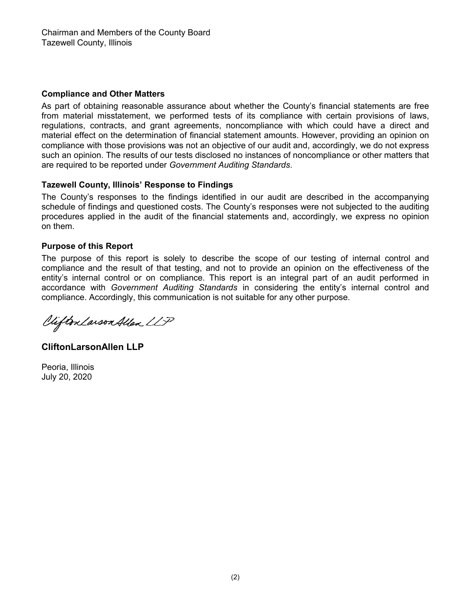### **Compliance and Other Matters**

As part of obtaining reasonable assurance about whether the County's financial statements are free from material misstatement, we performed tests of its compliance with certain provisions of laws, regulations, contracts, and grant agreements, noncompliance with which could have a direct and material effect on the determination of financial statement amounts. However, providing an opinion on compliance with those provisions was not an objective of our audit and, accordingly, we do not express such an opinion. The results of our tests disclosed no instances of noncompliance or other matters that are required to be reported under *Government Auditing Standards*.

# **Tazewell County, Illinois' Response to Findings**

The County's responses to the findings identified in our audit are described in the accompanying schedule of findings and questioned costs. The County's responses were not subjected to the auditing procedures applied in the audit of the financial statements and, accordingly, we express no opinion on them.

### **Purpose of this Report**

The purpose of this report is solely to describe the scope of our testing of internal control and compliance and the result of that testing, and not to provide an opinion on the effectiveness of the entity's internal control or on compliance. This report is an integral part of an audit performed in accordance with *Government Auditing Standards* in considering the entity's internal control and compliance. Accordingly, this communication is not suitable for any other purpose.

Vifton Larson Allen LLP

**CliftonLarsonAllen LLP**

Peoria, Illinois July 20, 2020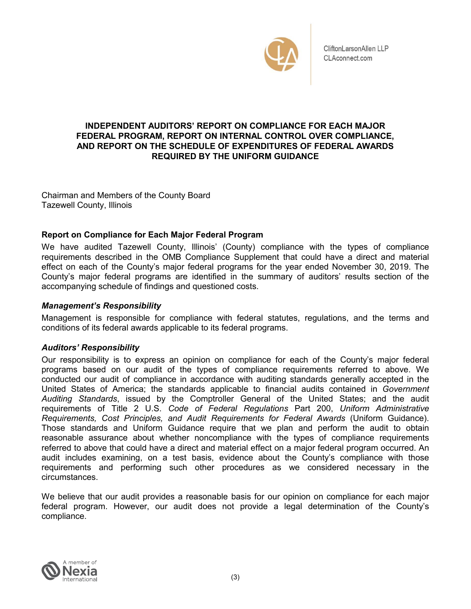

# **INDEPENDENT AUDITORS' REPORT ON COMPLIANCE FOR EACH MAJOR FEDERAL PROGRAM, REPORT ON INTERNAL CONTROL OVER COMPLIANCE, AND REPORT ON THE SCHEDULE OF EXPENDITURES OF FEDERAL AWARDS REQUIRED BY THE UNIFORM GUIDANCE**

Chairman and Members of the County Board Tazewell County, Illinois

# **Report on Compliance for Each Major Federal Program**

We have audited Tazewell County, Illinois' (County) compliance with the types of compliance requirements described in the OMB Compliance Supplement that could have a direct and material effect on each of the County's major federal programs for the year ended November 30, 2019. The County's major federal programs are identified in the summary of auditors' results section of the accompanying schedule of findings and questioned costs.

# *Management's Responsibility*

Management is responsible for compliance with federal statutes, regulations, and the terms and conditions of its federal awards applicable to its federal programs.

# *Auditors' Responsibility*

Our responsibility is to express an opinion on compliance for each of the County's major federal programs based on our audit of the types of compliance requirements referred to above. We conducted our audit of compliance in accordance with auditing standards generally accepted in the United States of America; the standards applicable to financial audits contained in *Government Auditing Standards*, issued by the Comptroller General of the United States; and the audit requirements of Title 2 U.S. *Code of Federal Regulations* Part 200, *Uniform Administrative Requirements, Cost Principles, and Audit Requirements for Federal Awards* (Uniform Guidance). Those standards and Uniform Guidance require that we plan and perform the audit to obtain reasonable assurance about whether noncompliance with the types of compliance requirements referred to above that could have a direct and material effect on a major federal program occurred. An audit includes examining, on a test basis, evidence about the County's compliance with those requirements and performing such other procedures as we considered necessary in the circumstances.

We believe that our audit provides a reasonable basis for our opinion on compliance for each major federal program. However, our audit does not provide a legal determination of the County's compliance.

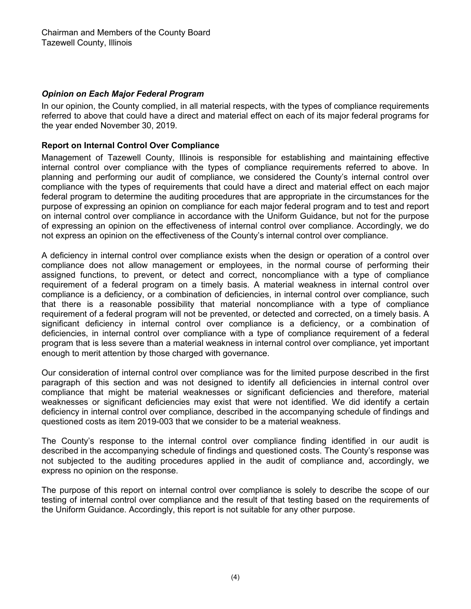### *Opinion on Each Major Federal Program*

In our opinion, the County complied, in all material respects, with the types of compliance requirements referred to above that could have a direct and material effect on each of its major federal programs for the year ended November 30, 2019.

### **Report on Internal Control Over Compliance**

Management of Tazewell County, Illinois is responsible for establishing and maintaining effective internal control over compliance with the types of compliance requirements referred to above. In planning and performing our audit of compliance, we considered the County's internal control over compliance with the types of requirements that could have a direct and material effect on each major federal program to determine the auditing procedures that are appropriate in the circumstances for the purpose of expressing an opinion on compliance for each major federal program and to test and report on internal control over compliance in accordance with the Uniform Guidance, but not for the purpose of expressing an opinion on the effectiveness of internal control over compliance. Accordingly, we do not express an opinion on the effectiveness of the County's internal control over compliance.

A deficiency in internal control over compliance exists when the design or operation of a control over compliance does not allow management or employees, in the normal course of performing their assigned functions, to prevent, or detect and correct, noncompliance with a type of compliance requirement of a federal program on a timely basis. A material weakness in internal control over compliance is a deficiency, or a combination of deficiencies, in internal control over compliance, such that there is a reasonable possibility that material noncompliance with a type of compliance requirement of a federal program will not be prevented, or detected and corrected, on a timely basis. A significant deficiency in internal control over compliance is a deficiency, or a combination of deficiencies, in internal control over compliance with a type of compliance requirement of a federal program that is less severe than a material weakness in internal control over compliance, yet important enough to merit attention by those charged with governance.

Our consideration of internal control over compliance was for the limited purpose described in the first paragraph of this section and was not designed to identify all deficiencies in internal control over compliance that might be material weaknesses or significant deficiencies and therefore, material weaknesses or significant deficiencies may exist that were not identified. We did identify a certain deficiency in internal control over compliance, described in the accompanying schedule of findings and questioned costs as item 2019-003 that we consider to be a material weakness.

The County's response to the internal control over compliance finding identified in our audit is described in the accompanying schedule of findings and questioned costs. The County's response was not subjected to the auditing procedures applied in the audit of compliance and, accordingly, we express no opinion on the response.

The purpose of this report on internal control over compliance is solely to describe the scope of our testing of internal control over compliance and the result of that testing based on the requirements of the Uniform Guidance. Accordingly, this report is not suitable for any other purpose.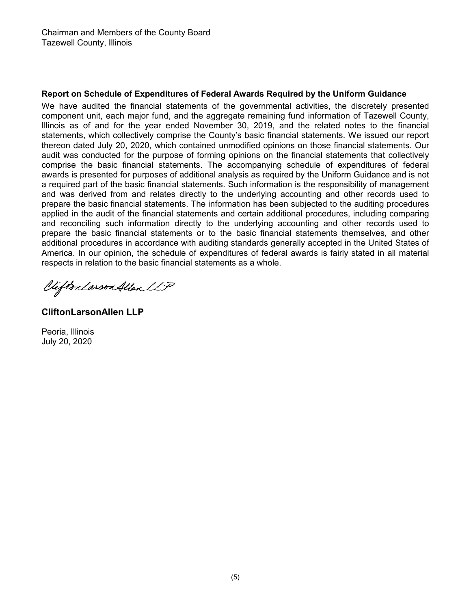# **Report on Schedule of Expenditures of Federal Awards Required by the Uniform Guidance**

We have audited the financial statements of the governmental activities, the discretely presented component unit, each major fund, and the aggregate remaining fund information of Tazewell County, Illinois as of and for the year ended November 30, 2019, and the related notes to the financial statements, which collectively comprise the County's basic financial statements. We issued our report thereon dated July 20, 2020, which contained unmodified opinions on those financial statements. Our audit was conducted for the purpose of forming opinions on the financial statements that collectively comprise the basic financial statements. The accompanying schedule of expenditures of federal awards is presented for purposes of additional analysis as required by the Uniform Guidance and is not a required part of the basic financial statements. Such information is the responsibility of management and was derived from and relates directly to the underlying accounting and other records used to prepare the basic financial statements. The information has been subjected to the auditing procedures applied in the audit of the financial statements and certain additional procedures, including comparing and reconciling such information directly to the underlying accounting and other records used to prepare the basic financial statements or to the basic financial statements themselves, and other additional procedures in accordance with auditing standards generally accepted in the United States of America. In our opinion, the schedule of expenditures of federal awards is fairly stated in all material respects in relation to the basic financial statements as a whole.

Clifton Larson Allen LLP

# **CliftonLarsonAllen LLP**

Peoria, Illinois July 20, 2020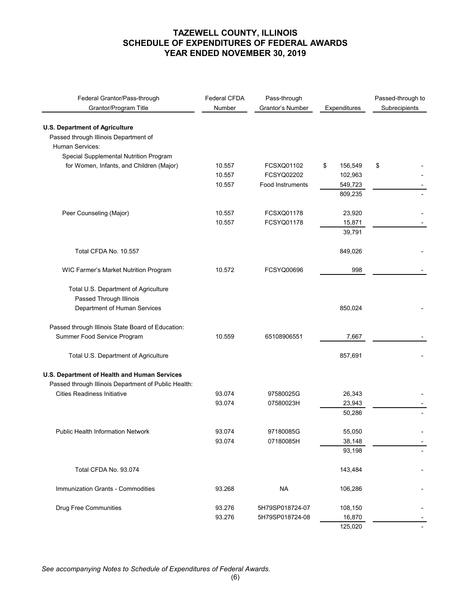| Federal Grantor/Pass-through<br>Grantor/Program Title | Federal CFDA<br>Number | Pass-through<br>Grantor's Number | Expenditures  | Passed-through to<br>Subrecipients |
|-------------------------------------------------------|------------------------|----------------------------------|---------------|------------------------------------|
| <b>U.S. Department of Agriculture</b>                 |                        |                                  |               |                                    |
| Passed through Illinois Department of                 |                        |                                  |               |                                    |
| Human Services:                                       |                        |                                  |               |                                    |
| Special Supplemental Nutrition Program                |                        |                                  |               |                                    |
| for Women, Infants, and Children (Major)              | 10.557                 | FCSXQ01102                       | 156,549<br>\$ | \$                                 |
|                                                       | 10.557                 | FCSYQ02202                       | 102,963       |                                    |
|                                                       | 10.557                 | <b>Food Instruments</b>          | 549,723       |                                    |
|                                                       |                        |                                  | 809,235       |                                    |
| Peer Counseling (Major)                               | 10.557                 | FCSXQ01178                       | 23,920        |                                    |
|                                                       | 10.557                 | FCSYQ01178                       | 15,871        |                                    |
|                                                       |                        |                                  | 39,791        |                                    |
| Total CFDA No. 10.557                                 |                        |                                  | 849,026       |                                    |
| WIC Farmer's Market Nutrition Program                 | 10.572                 | FCSYQ00696                       | 998           |                                    |
| Total U.S. Department of Agriculture                  |                        |                                  |               |                                    |
| Passed Through Illinois                               |                        |                                  |               |                                    |
| Department of Human Services                          |                        |                                  | 850,024       |                                    |
|                                                       |                        |                                  |               |                                    |
| Passed through Illinois State Board of Education:     |                        |                                  |               |                                    |
| Summer Food Service Program                           | 10.559                 | 65108906551                      | 7,667         |                                    |
| Total U.S. Department of Agriculture                  |                        |                                  | 857,691       |                                    |
| U.S. Department of Health and Human Services          |                        |                                  |               |                                    |
| Passed through Illinois Department of Public Health:  |                        |                                  |               |                                    |
| Cities Readiness Initiative                           | 93.074                 | 97580025G                        | 26,343        |                                    |
|                                                       | 93.074                 | 07580023H                        | 23,943        |                                    |
|                                                       |                        |                                  | 50,286        |                                    |
|                                                       |                        |                                  |               |                                    |
| <b>Public Health Information Network</b>              | 93.074                 | 97180085G                        | 55,050        |                                    |
|                                                       | 93.074                 | 07180085H                        | 38,148        |                                    |
|                                                       |                        |                                  | 93,198        |                                    |
| Total CFDA No. 93.074                                 |                        |                                  | 143,484       |                                    |
| Immunization Grants - Commodities                     | 93.268                 | <b>NA</b>                        | 106,286       |                                    |
| <b>Drug Free Communities</b>                          | 93.276                 | 5H79SP018724-07                  | 108,150       |                                    |
|                                                       | 93.276                 | 5H79SP018724-08                  | 16,870        |                                    |
|                                                       |                        |                                  | 125,020       |                                    |

*See accompanying Notes to Schedule of Expenditures of Federal Awards.*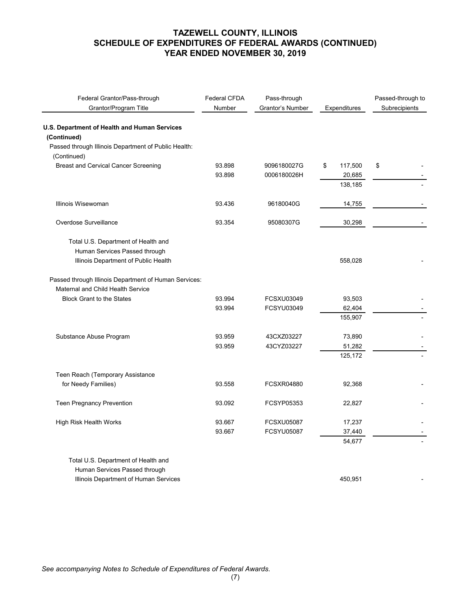| Federal Grantor/Pass-through                                | Federal CFDA | Pass-through      |               | Passed-through to |
|-------------------------------------------------------------|--------------|-------------------|---------------|-------------------|
| Grantor/Program Title                                       | Number       | Grantor's Number  | Expenditures  | Subrecipients     |
| U.S. Department of Health and Human Services<br>(Continued) |              |                   |               |                   |
| Passed through Illinois Department of Public Health:        |              |                   |               |                   |
| (Continued)                                                 |              |                   |               |                   |
| <b>Breast and Cervical Cancer Screening</b>                 | 93.898       | 9096180027G       | \$<br>117,500 | \$                |
|                                                             | 93.898       | 0006180026H       | 20,685        |                   |
|                                                             |              |                   | 138,185       |                   |
| Illinois Wisewoman                                          | 93.436       | 96180040G         | 14,755        |                   |
| Overdose Surveillance                                       | 93.354       | 95080307G         | 30,298        |                   |
| Total U.S. Department of Health and                         |              |                   |               |                   |
| Human Services Passed through                               |              |                   |               |                   |
| Illinois Department of Public Health                        |              |                   | 558,028       |                   |
| Passed through Illinois Department of Human Services:       |              |                   |               |                   |
| Maternal and Child Health Service                           |              |                   |               |                   |
| <b>Block Grant to the States</b>                            | 93.994       | FCSXU03049        | 93,503        |                   |
|                                                             | 93.994       | FCSYU03049        | 62,404        |                   |
|                                                             |              |                   | 155,907       |                   |
| Substance Abuse Program                                     | 93.959       | 43CXZ03227        | 73,890        |                   |
|                                                             | 93.959       | 43CYZ03227        | 51,282        |                   |
|                                                             |              |                   | 125,172       |                   |
| Teen Reach (Temporary Assistance                            |              |                   |               |                   |
| for Needy Families)                                         | 93.558       | <b>FCSXR04880</b> | 92,368        |                   |
| <b>Teen Pregnancy Prevention</b>                            | 93.092       | FCSYP05353        | 22,827        |                   |
| High Risk Health Works                                      | 93.667       | <b>FCSXU05087</b> | 17,237        |                   |
|                                                             | 93.667       | <b>FCSYU05087</b> | 37,440        |                   |
|                                                             |              |                   | 54,677        |                   |
| Total U.S. Department of Health and                         |              |                   |               |                   |
| Human Services Passed through                               |              |                   |               |                   |
| Illinois Department of Human Services                       |              |                   | 450,951       |                   |

*See accompanying Notes to Schedule of Expenditures of Federal Awards.*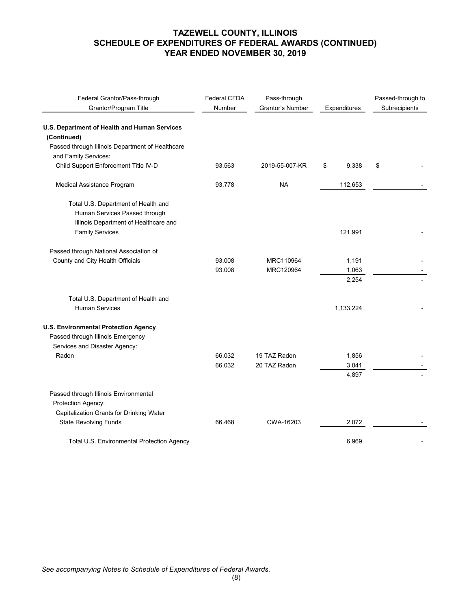| Federal Grantor/Pass-through<br>Grantor/Program Title | <b>Federal CFDA</b><br>Number | Pass-through<br>Grantor's Number | Expenditures | Passed-through to<br>Subrecipients |
|-------------------------------------------------------|-------------------------------|----------------------------------|--------------|------------------------------------|
|                                                       |                               |                                  |              |                                    |
| U.S. Department of Health and Human Services          |                               |                                  |              |                                    |
| (Continued)                                           |                               |                                  |              |                                    |
| Passed through Illinois Department of Healthcare      |                               |                                  |              |                                    |
| and Family Services:                                  |                               |                                  |              |                                    |
| Child Support Enforcement Title IV-D                  | 93.563                        | 2019-55-007-KR                   | \$<br>9,338  | \$                                 |
| Medical Assistance Program                            | 93.778                        | <b>NA</b>                        | 112,653      |                                    |
| Total U.S. Department of Health and                   |                               |                                  |              |                                    |
| Human Services Passed through                         |                               |                                  |              |                                    |
| Illinois Department of Healthcare and                 |                               |                                  |              |                                    |
| <b>Family Services</b>                                |                               |                                  | 121,991      |                                    |
| Passed through National Association of                |                               |                                  |              |                                    |
| County and City Health Officials                      | 93.008                        | MRC110964                        | 1,191        |                                    |
|                                                       | 93.008                        | MRC120964                        | 1,063        |                                    |
|                                                       |                               |                                  | 2,254        |                                    |
|                                                       |                               |                                  |              |                                    |
| Total U.S. Department of Health and                   |                               |                                  |              |                                    |
| <b>Human Services</b>                                 |                               |                                  | 1,133,224    |                                    |
| <b>U.S. Environmental Protection Agency</b>           |                               |                                  |              |                                    |
| Passed through Illinois Emergency                     |                               |                                  |              |                                    |
| Services and Disaster Agency:                         |                               |                                  |              |                                    |
| Radon                                                 | 66.032                        | 19 TAZ Radon                     | 1,856        |                                    |
|                                                       | 66.032                        | 20 TAZ Radon                     | 3,041        |                                    |
|                                                       |                               |                                  | 4,897        |                                    |
|                                                       |                               |                                  |              |                                    |
| Passed through Illinois Environmental                 |                               |                                  |              |                                    |
| Protection Agency:                                    |                               |                                  |              |                                    |
| Capitalization Grants for Drinking Water              |                               |                                  |              |                                    |
| <b>State Revolving Funds</b>                          | 66.468                        | CWA-16203                        | 2,072        |                                    |
| Total U.S. Environmental Protection Agency            |                               |                                  | 6,969        |                                    |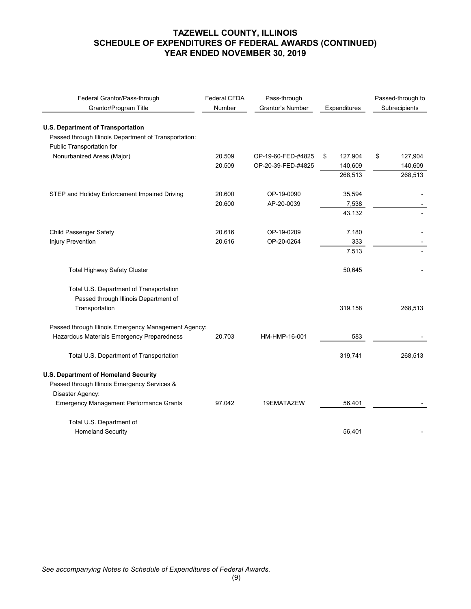| Federal Grantor/Pass-through<br>Grantor/Program Title | <b>Federal CFDA</b><br>Number | Pass-through<br>Grantor's Number | Expenditures |         |    |         | Passed-through to<br>Subrecipients |  |
|-------------------------------------------------------|-------------------------------|----------------------------------|--------------|---------|----|---------|------------------------------------|--|
| <b>U.S. Department of Transportation</b>              |                               |                                  |              |         |    |         |                                    |  |
| Passed through Illinois Department of Transportation: |                               |                                  |              |         |    |         |                                    |  |
| Public Transportation for                             |                               |                                  |              |         |    |         |                                    |  |
| Nonurbanized Areas (Major)                            | 20.509                        | OP-19-60-FED-#4825               | \$           | 127,904 | \$ | 127,904 |                                    |  |
|                                                       | 20.509                        | OP-20-39-FED-#4825               |              | 140,609 |    | 140,609 |                                    |  |
|                                                       |                               |                                  |              | 268,513 |    | 268,513 |                                    |  |
| STEP and Holiday Enforcement Impaired Driving         | 20.600                        | OP-19-0090                       |              | 35,594  |    |         |                                    |  |
|                                                       | 20.600                        | AP-20-0039                       |              | 7,538   |    |         |                                    |  |
|                                                       |                               |                                  |              | 43,132  |    |         |                                    |  |
| Child Passenger Safety                                | 20.616                        | OP-19-0209                       |              | 7,180   |    |         |                                    |  |
| <b>Injury Prevention</b>                              | 20.616                        | OP-20-0264                       |              | 333     |    |         |                                    |  |
|                                                       |                               |                                  |              | 7,513   |    |         |                                    |  |
| <b>Total Highway Safety Cluster</b>                   |                               |                                  |              | 50,645  |    |         |                                    |  |
| Total U.S. Department of Transportation               |                               |                                  |              |         |    |         |                                    |  |
| Passed through Illinois Department of                 |                               |                                  |              |         |    |         |                                    |  |
| Transportation                                        |                               |                                  |              | 319,158 |    | 268,513 |                                    |  |
| Passed through Illinois Emergency Management Agency:  |                               |                                  |              |         |    |         |                                    |  |
| Hazardous Materials Emergency Preparedness            | 20.703                        | HM-HMP-16-001                    |              | 583     |    |         |                                    |  |
| Total U.S. Department of Transportation               |                               |                                  |              | 319,741 |    | 268,513 |                                    |  |
| U.S. Department of Homeland Security                  |                               |                                  |              |         |    |         |                                    |  |
| Passed through Illinois Emergency Services &          |                               |                                  |              |         |    |         |                                    |  |
| Disaster Agency:                                      |                               |                                  |              |         |    |         |                                    |  |
| <b>Emergency Management Performance Grants</b>        | 97.042                        | 19EMATAZEW                       |              | 56,401  |    |         |                                    |  |
| Total U.S. Department of                              |                               |                                  |              |         |    |         |                                    |  |
| <b>Homeland Security</b>                              |                               |                                  |              | 56,401  |    |         |                                    |  |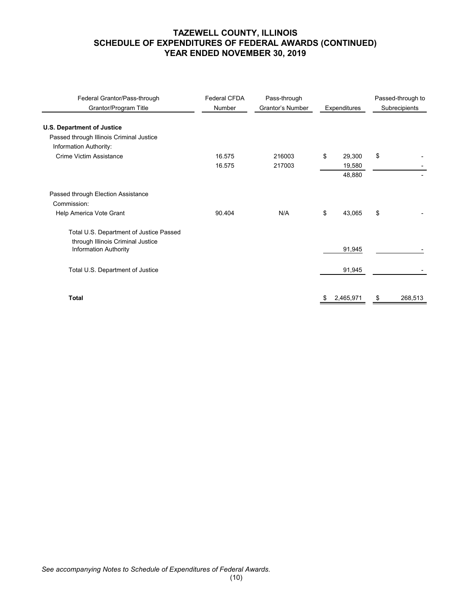| Federal Grantor/Pass-through<br>Grantor/Program Title             | <b>Federal CFDA</b><br>Number | Pass-through<br>Grantor's Number | Expenditures |           |    | Passed-through to<br>Subrecipients |
|-------------------------------------------------------------------|-------------------------------|----------------------------------|--------------|-----------|----|------------------------------------|
| <b>U.S. Department of Justice</b>                                 |                               |                                  |              |           |    |                                    |
| Passed through Illinois Criminal Justice                          |                               |                                  |              |           |    |                                    |
| Information Authority:                                            |                               |                                  |              |           |    |                                    |
| <b>Crime Victim Assistance</b>                                    | 16.575                        | 216003                           | \$           | 29,300    | \$ |                                    |
|                                                                   | 16.575                        | 217003                           |              | 19,580    |    |                                    |
|                                                                   |                               |                                  |              | 48,880    |    |                                    |
| Passed through Election Assistance                                |                               |                                  |              |           |    |                                    |
| Commission:                                                       |                               |                                  |              |           |    |                                    |
| Help America Vote Grant                                           | 90.404                        | N/A                              | \$           | 43,065    | \$ |                                    |
| Total U.S. Department of Justice Passed                           |                               |                                  |              |           |    |                                    |
| through Illinois Criminal Justice<br><b>Information Authority</b> |                               |                                  |              | 91,945    |    |                                    |
| Total U.S. Department of Justice                                  |                               |                                  |              | 91,945    |    |                                    |
|                                                                   |                               |                                  |              |           |    |                                    |
| <b>Total</b>                                                      |                               |                                  |              | 2,465,971 | S  | 268,513                            |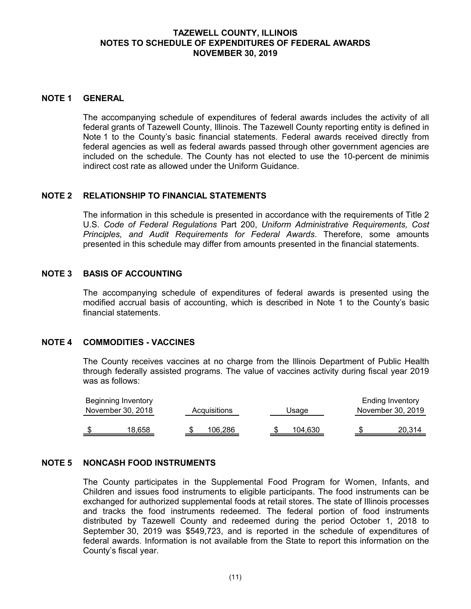# **TAZEWELL COUNTY, ILLINOIS NOTES TO SCHEDULE OF EXPENDITURES OF FEDERAL AWARDS NOVEMBER 30, 2019**

#### **NOTE 1 GENERAL**

The accompanying schedule of expenditures of federal awards includes the activity of all federal grants of Tazewell County, Illinois. The Tazewell County reporting entity is defined in Note 1 to the County's basic financial statements. Federal awards received directly from federal agencies as well as federal awards passed through other government agencies are included on the schedule. The County has not elected to use the 10-percent de minimis indirect cost rate as allowed under the Uniform Guidance.

### **NOTE 2 RELATIONSHIP TO FINANCIAL STATEMENTS**

The information in this schedule is presented in accordance with the requirements of Title 2 U.S. *Code of Federal Regulations* Part 200, *Uniform Administrative Requirements, Cost Principles, and Audit Requirements for Federal Awards*. Therefore, some amounts presented in this schedule may differ from amounts presented in the financial statements.

### **NOTE 3 BASIS OF ACCOUNTING**

The accompanying schedule of expenditures of federal awards is presented using the modified accrual basis of accounting, which is described in Note 1 to the County's basic financial statements.

#### **NOTE 4 COMMODITIES - VACCINES**

The County receives vaccines at no charge from the Illinois Department of Public Health through federally assisted programs. The value of vaccines activity during fiscal year 2019 was as follows:

| <b>Beginning Inventory</b> |              |         | <b>Ending Inventory</b> |
|----------------------------|--------------|---------|-------------------------|
| November 30, 2018          | Acquisitions | Jsaqe   | November 30, 2019       |
|                            |              |         |                         |
| 18.658                     | 106,286      | 104.630 | 20,314                  |

# **NOTE 5 NONCASH FOOD INSTRUMENTS**

The County participates in the Supplemental Food Program for Women, Infants, and Children and issues food instruments to eligible participants. The food instruments can be exchanged for authorized supplemental foods at retail stores. The state of Illinois processes and tracks the food instruments redeemed. The federal portion of food instruments distributed by Tazewell County and redeemed during the period October 1, 2018 to September 30, 2019 was \$549,723, and is reported in the schedule of expenditures of federal awards. Information is not available from the State to report this information on the County's fiscal year.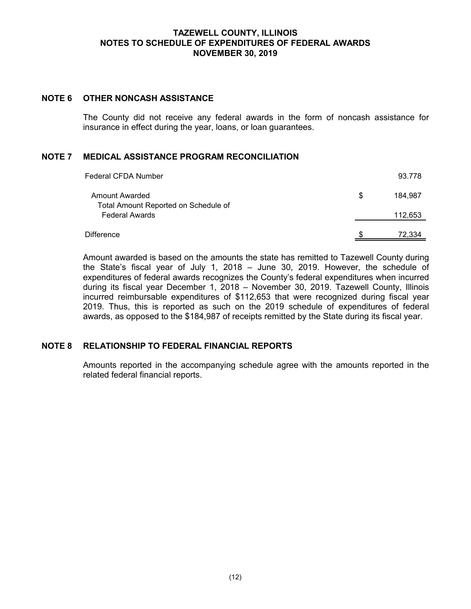# **TAZEWELL COUNTY, ILLINOIS NOTES TO SCHEDULE OF EXPENDITURES OF FEDERAL AWARDS NOVEMBER 30, 2019**

### **NOTE 6 OTHER NONCASH ASSISTANCE**

The County did not receive any federal awards in the form of noncash assistance for insurance in effect during the year, loans, or loan guarantees.

# **NOTE 7 MEDICAL ASSISTANCE PROGRAM RECONCILIATION**

| Federal CFDA Number                                    |   | 93.778  |
|--------------------------------------------------------|---|---------|
| Amount Awarded<br>Total Amount Reported on Schedule of | S | 184.987 |
| <b>Federal Awards</b>                                  |   | 112,653 |
| Difference                                             |   | 72.334  |

Amount awarded is based on the amounts the state has remitted to Tazewell County during the State's fiscal year of July 1, 2018 – June 30, 2019. However, the schedule of expenditures of federal awards recognizes the County's federal expenditures when incurred during its fiscal year December 1, 2018 – November 30, 2019. Tazewell County, Illinois incurred reimbursable expenditures of \$112,653 that were recognized during fiscal year 2019. Thus, this is reported as such on the 2019 schedule of expenditures of federal awards, as opposed to the \$184,987 of receipts remitted by the State during its fiscal year.

# **NOTE 8 RELATIONSHIP TO FEDERAL FINANCIAL REPORTS**

Amounts reported in the accompanying schedule agree with the amounts reported in the related federal financial reports.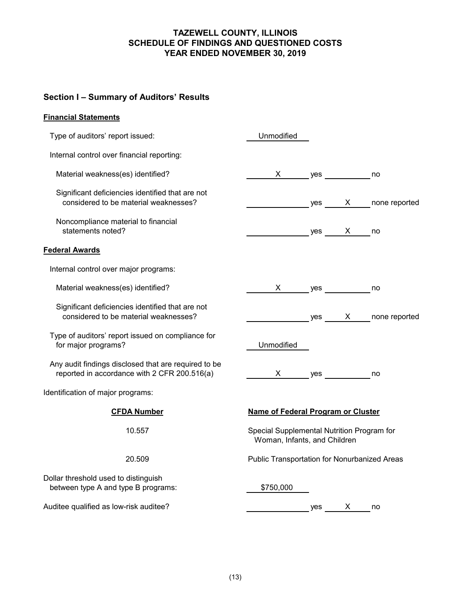# **Section I – Summary of Auditors' Results**

# **Financial Statements**

| Type of auditors' report issued:                                                                     | Unmodified                                                                                                                                                                                                                                                                                       |     |                                                                                                                                                                                                                                     |                 |
|------------------------------------------------------------------------------------------------------|--------------------------------------------------------------------------------------------------------------------------------------------------------------------------------------------------------------------------------------------------------------------------------------------------|-----|-------------------------------------------------------------------------------------------------------------------------------------------------------------------------------------------------------------------------------------|-----------------|
| Internal control over financial reporting:                                                           |                                                                                                                                                                                                                                                                                                  |     |                                                                                                                                                                                                                                     |                 |
| Material weakness(es) identified?                                                                    | $\mathsf{X}$ and $\mathsf{X}$ and $\mathsf{X}$ and $\mathsf{X}$ are $\mathsf{X}$ and $\mathsf{X}$ and $\mathsf{X}$ are $\mathsf{X}$ and $\mathsf{X}$ are $\mathsf{X}$ and $\mathsf{X}$ are $\mathsf{X}$ and $\mathsf{X}$ are $\mathsf{X}$ and $\mathsf{X}$ are $\mathsf{X}$ and $\mathsf{X}$ are |     | <b>yes</b> and the set of the set of the set of the set of the set of the set of the set of the set of the set of the set of the set of the set of the set of the set of the set of the set of the set of the set of the set of the | no              |
| Significant deficiencies identified that are not<br>considered to be material weaknesses?            |                                                                                                                                                                                                                                                                                                  | yes | $X \sim$                                                                                                                                                                                                                            | none reported   |
| Noncompliance material to financial<br>statements noted?                                             |                                                                                                                                                                                                                                                                                                  |     | yes X                                                                                                                                                                                                                               | no              |
| <b>Federal Awards</b>                                                                                |                                                                                                                                                                                                                                                                                                  |     |                                                                                                                                                                                                                                     |                 |
| Internal control over major programs:                                                                |                                                                                                                                                                                                                                                                                                  |     |                                                                                                                                                                                                                                     |                 |
| Material weakness(es) identified?                                                                    | X —                                                                                                                                                                                                                                                                                              | yes |                                                                                                                                                                                                                                     | no              |
| Significant deficiencies identified that are not<br>considered to be material weaknesses?            |                                                                                                                                                                                                                                                                                                  | yes |                                                                                                                                                                                                                                     | X none reported |
| Type of auditors' report issued on compliance for<br>for major programs?                             | Unmodified                                                                                                                                                                                                                                                                                       |     |                                                                                                                                                                                                                                     |                 |
| Any audit findings disclosed that are required to be<br>reported in accordance with 2 CFR 200.516(a) | X and the set of the set of the set of the set of the set of the set of the set of the set of the set of the set of the set of the set of the set of the set of the set of the set of the set of the set of the set of the set                                                                   | yes |                                                                                                                                                                                                                                     | no              |
| Identification of major programs:                                                                    |                                                                                                                                                                                                                                                                                                  |     |                                                                                                                                                                                                                                     |                 |
| <b>CFDA Number</b>                                                                                   | Name of Federal Program or Cluster                                                                                                                                                                                                                                                               |     |                                                                                                                                                                                                                                     |                 |
| 10.557                                                                                               | Special Supplemental Nutrition Program for<br>Woman, Infants, and Children                                                                                                                                                                                                                       |     |                                                                                                                                                                                                                                     |                 |
| 20.509                                                                                               | Public Transportation for Nonurbanized Areas                                                                                                                                                                                                                                                     |     |                                                                                                                                                                                                                                     |                 |
| Dollar threshold used to distinguish<br>between type A and type B programs:                          | \$750,000                                                                                                                                                                                                                                                                                        |     |                                                                                                                                                                                                                                     |                 |
| Auditee qualified as low-risk auditee?                                                               |                                                                                                                                                                                                                                                                                                  | yes | X and the set of the set of the set of the set of the set of the set of the set of the set of the set of the set of the set of the set of the set of the set of the set of the set of the set of the set of the set of the set      | no              |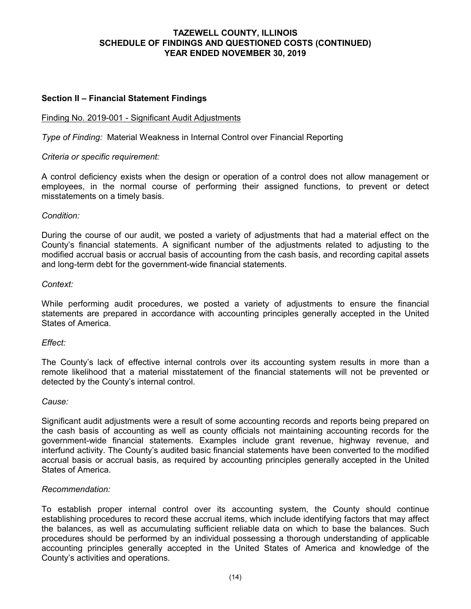### **Section II – Financial Statement Findings**

### Finding No. 2019-001 - Significant Audit Adjustments

*Type of Finding:* Material Weakness in Internal Control over Financial Reporting

#### *Criteria or specific requirement:*

A control deficiency exists when the design or operation of a control does not allow management or employees, in the normal course of performing their assigned functions, to prevent or detect misstatements on a timely basis.

### *Condition:*

During the course of our audit, we posted a variety of adjustments that had a material effect on the County's financial statements. A significant number of the adjustments related to adjusting to the modified accrual basis or accrual basis of accounting from the cash basis, and recording capital assets and long-term debt for the government-wide financial statements.

#### *Context:*

While performing audit procedures, we posted a variety of adjustments to ensure the financial statements are prepared in accordance with accounting principles generally accepted in the United States of America.

#### *Effect:*

The County's lack of effective internal controls over its accounting system results in more than a remote likelihood that a material misstatement of the financial statements will not be prevented or detected by the County's internal control.

#### *Cause:*

Significant audit adjustments were a result of some accounting records and reports being prepared on the cash basis of accounting as well as county officials not maintaining accounting records for the government-wide financial statements. Examples include grant revenue, highway revenue, and interfund activity. The County's audited basic financial statements have been converted to the modified accrual basis or accrual basis, as required by accounting principles generally accepted in the United States of America.

#### *Recommendation:*

To establish proper internal control over its accounting system, the County should continue establishing procedures to record these accrual items, which include identifying factors that may affect the balances, as well as accumulating sufficient reliable data on which to base the balances. Such procedures should be performed by an individual possessing a thorough understanding of applicable accounting principles generally accepted in the United States of America and knowledge of the County's activities and operations.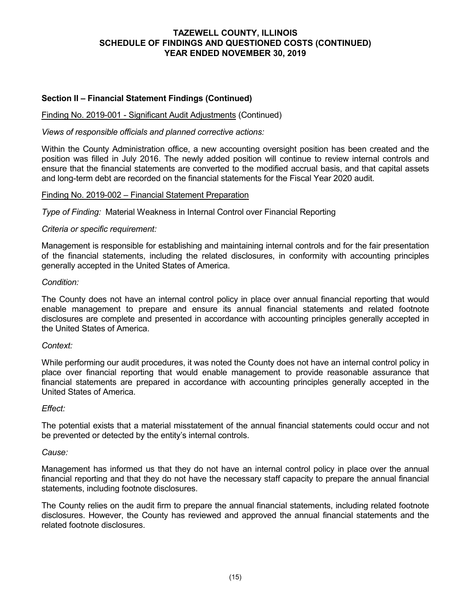# **Section II – Financial Statement Findings (Continued)**

### Finding No. 2019-001 - Significant Audit Adjustments (Continued)

### *Views of responsible officials and planned corrective actions:*

Within the County Administration office, a new accounting oversight position has been created and the position was filled in July 2016. The newly added position will continue to review internal controls and ensure that the financial statements are converted to the modified accrual basis, and that capital assets and long-term debt are recorded on the financial statements for the Fiscal Year 2020 audit.

#### Finding No. 2019-002 – Financial Statement Preparation

*Type of Finding:* Material Weakness in Internal Control over Financial Reporting

#### *Criteria or specific requirement:*

Management is responsible for establishing and maintaining internal controls and for the fair presentation of the financial statements, including the related disclosures, in conformity with accounting principles generally accepted in the United States of America.

#### *Condition:*

The County does not have an internal control policy in place over annual financial reporting that would enable management to prepare and ensure its annual financial statements and related footnote disclosures are complete and presented in accordance with accounting principles generally accepted in the United States of America.

#### *Context:*

While performing our audit procedures, it was noted the County does not have an internal control policy in place over financial reporting that would enable management to provide reasonable assurance that financial statements are prepared in accordance with accounting principles generally accepted in the United States of America.

#### *Effect:*

The potential exists that a material misstatement of the annual financial statements could occur and not be prevented or detected by the entity's internal controls.

#### *Cause:*

Management has informed us that they do not have an internal control policy in place over the annual financial reporting and that they do not have the necessary staff capacity to prepare the annual financial statements, including footnote disclosures.

The County relies on the audit firm to prepare the annual financial statements, including related footnote disclosures. However, the County has reviewed and approved the annual financial statements and the related footnote disclosures.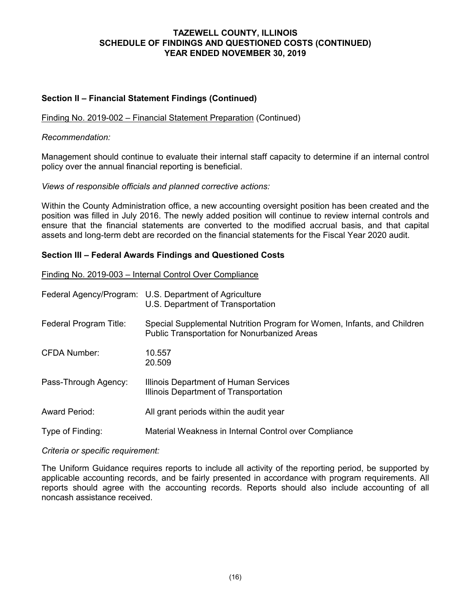# **Section II – Financial Statement Findings (Continued)**

### Finding No. 2019-002 – Financial Statement Preparation (Continued)

#### *Recommendation:*

Management should continue to evaluate their internal staff capacity to determine if an internal control policy over the annual financial reporting is beneficial.

### *Views of responsible officials and planned corrective actions:*

Within the County Administration office, a new accounting oversight position has been created and the position was filled in July 2016. The newly added position will continue to review internal controls and ensure that the financial statements are converted to the modified accrual basis, and that capital assets and long-term debt are recorded on the financial statements for the Fiscal Year 2020 audit.

### **Section III – Federal Awards Findings and Questioned Costs**

Finding No. 2019-003 – Internal Control Over Compliance

| Federal Agency/Program: | U.S. Department of Agriculture<br>U.S. Department of Transportation                                                            |
|-------------------------|--------------------------------------------------------------------------------------------------------------------------------|
| Federal Program Title:  | Special Supplemental Nutrition Program for Women, Infants, and Children<br><b>Public Transportation for Nonurbanized Areas</b> |
| <b>CFDA Number:</b>     | 10.557<br>20.509                                                                                                               |
| Pass-Through Agency:    | Illinois Department of Human Services<br>Illinois Department of Transportation                                                 |
| <b>Award Period:</b>    | All grant periods within the audit year                                                                                        |
| Type of Finding:        | Material Weakness in Internal Control over Compliance                                                                          |

#### *Criteria or specific requirement:*

The Uniform Guidance requires reports to include all activity of the reporting period, be supported by applicable accounting records, and be fairly presented in accordance with program requirements. All reports should agree with the accounting records. Reports should also include accounting of all noncash assistance received.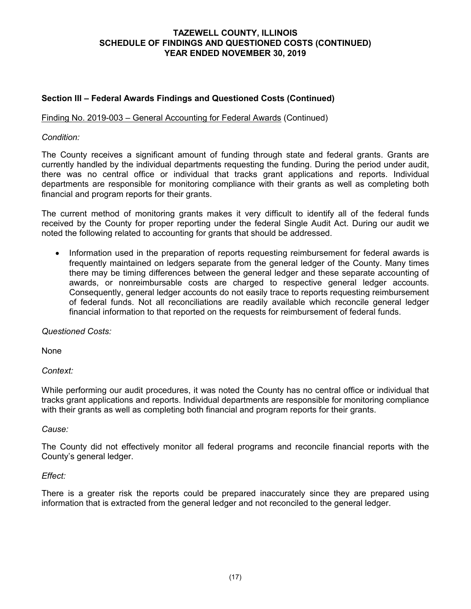# **Section III – Federal Awards Findings and Questioned Costs (Continued)**

### Finding No. 2019-003 – General Accounting for Federal Awards (Continued)

### *Condition:*

The County receives a significant amount of funding through state and federal grants. Grants are currently handled by the individual departments requesting the funding. During the period under audit, there was no central office or individual that tracks grant applications and reports. Individual departments are responsible for monitoring compliance with their grants as well as completing both financial and program reports for their grants.

The current method of monitoring grants makes it very difficult to identify all of the federal funds received by the County for proper reporting under the federal Single Audit Act. During our audit we noted the following related to accounting for grants that should be addressed.

• Information used in the preparation of reports requesting reimbursement for federal awards is frequently maintained on ledgers separate from the general ledger of the County. Many times there may be timing differences between the general ledger and these separate accounting of awards, or nonreimbursable costs are charged to respective general ledger accounts. Consequently, general ledger accounts do not easily trace to reports requesting reimbursement of federal funds. Not all reconciliations are readily available which reconcile general ledger financial information to that reported on the requests for reimbursement of federal funds.

*Questioned Costs:*

None

*Context:*

While performing our audit procedures, it was noted the County has no central office or individual that tracks grant applications and reports. Individual departments are responsible for monitoring compliance with their grants as well as completing both financial and program reports for their grants.

#### *Cause:*

The County did not effectively monitor all federal programs and reconcile financial reports with the County's general ledger.

#### *Effect:*

There is a greater risk the reports could be prepared inaccurately since they are prepared using information that is extracted from the general ledger and not reconciled to the general ledger.